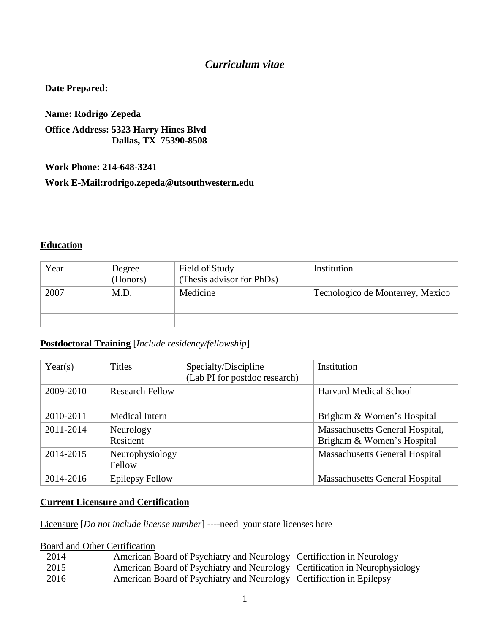#### *Curriculum vitae*

#### **Date Prepared:**

**Name: Rodrigo Zepeda Office Address: 5323 Harry Hines Blvd Dallas, TX 75390-8508**

**Work Phone: 214-648-3241**

**Work E-Mail:rodrigo.zepeda@utsouthwestern.edu**

#### **Education**

| Year | Degree<br>(Honors) | Field of Study<br>(Thesis advisor for PhDs) | Institution                      |
|------|--------------------|---------------------------------------------|----------------------------------|
| 2007 | M.D.               | Medicine                                    | Tecnologico de Monterrey, Mexico |
|      |                    |                                             |                                  |
|      |                    |                                             |                                  |

#### **Postdoctoral Training** [*Include residency/fellowship*]

| Year(s)   | <b>Titles</b>             | Specialty/Discipline<br>(Lab PI for postdoc research) | Institution                                                   |
|-----------|---------------------------|-------------------------------------------------------|---------------------------------------------------------------|
| 2009-2010 | <b>Research Fellow</b>    |                                                       | <b>Harvard Medical School</b>                                 |
| 2010-2011 | Medical Intern            |                                                       | Brigham & Women's Hospital                                    |
| 2011-2014 | Neurology<br>Resident     |                                                       | Massachusetts General Hospital,<br>Brigham & Women's Hospital |
| 2014-2015 | Neurophysiology<br>Fellow |                                                       | <b>Massachusetts General Hospital</b>                         |
| 2014-2016 | <b>Epilepsy Fellow</b>    |                                                       | <b>Massachusetts General Hospital</b>                         |

#### **Current Licensure and Certification**

Licensure [*Do not include license number*] ----need your state licenses here

#### Board and Other Certification

| 2014 | American Board of Psychiatry and Neurology Certification in Neurology       |  |
|------|-----------------------------------------------------------------------------|--|
| 2015 | American Board of Psychiatry and Neurology Certification in Neurophysiology |  |
| 2016 | American Board of Psychiatry and Neurology Certification in Epilepsy        |  |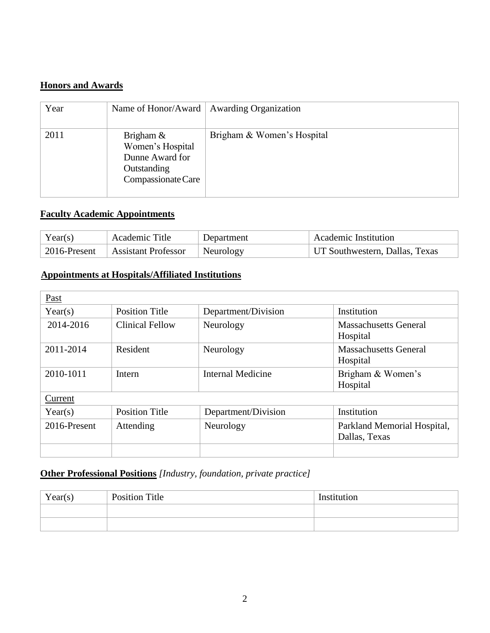#### **Honors and Awards**

| Year | Name of Honor/Award                                                                      | <b>Awarding Organization</b> |
|------|------------------------------------------------------------------------------------------|------------------------------|
| 2011 | Brigham $\&$<br>Women's Hospital<br>Dunne Award for<br>Outstanding<br>Compassionate Care | Brigham & Women's Hospital   |

#### **Faculty Academic Appointments**

| Year(s)      | Academic Title             | Department | <b>Academic Institution</b>    |
|--------------|----------------------------|------------|--------------------------------|
| 2016-Present | <b>Assistant Professor</b> | Neurology  | UT Southwestern, Dallas, Texas |

# **Appointments at Hospitals/Affiliated Institutions**

| Past         |                       |                          |                                              |
|--------------|-----------------------|--------------------------|----------------------------------------------|
| Year(s)      | <b>Position Title</b> | Department/Division      | Institution                                  |
| 2014-2016    | Clinical Fellow       | Neurology                | <b>Massachusetts General</b><br>Hospital     |
| 2011-2014    | Resident              | Neurology                | <b>Massachusetts General</b><br>Hospital     |
| 2010-1011    | Intern                | <b>Internal Medicine</b> | Brigham & Women's<br>Hospital                |
| Current      |                       |                          |                                              |
| Year(s)      | <b>Position Title</b> | Department/Division      | Institution                                  |
| 2016-Present | Attending             | Neurology                | Parkland Memorial Hospital,<br>Dallas, Texas |
|              |                       |                          |                                              |

#### **Other Professional Positions** *[Industry, foundation, private practice]*

| Year(s) | <b>Position Title</b> | Institution |
|---------|-----------------------|-------------|
|         |                       |             |
|         |                       |             |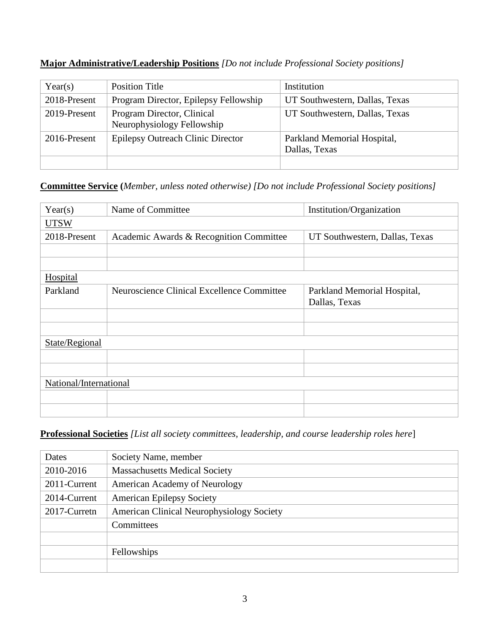| Year(s)      | <b>Position Title</b>                                    | Institution                                  |
|--------------|----------------------------------------------------------|----------------------------------------------|
| 2018-Present | Program Director, Epilepsy Fellowship                    | UT Southwestern, Dallas, Texas               |
| 2019-Present | Program Director, Clinical<br>Neurophysiology Fellowship | UT Southwestern, Dallas, Texas               |
| 2016-Present | <b>Epilepsy Outreach Clinic Director</b>                 | Parkland Memorial Hospital,<br>Dallas, Texas |
|              |                                                          |                                              |

#### **Major Administrative/Leadership Positions** *[Do not include Professional Society positions]*

# **Committee Service (***Member, unless noted otherwise) [Do not include Professional Society positions]*

| Year(s)                | Name of Committee                          | Institution/Organization       |
|------------------------|--------------------------------------------|--------------------------------|
| <b>UTSW</b>            |                                            |                                |
| 2018-Present           | Academic Awards & Recognition Committee    | UT Southwestern, Dallas, Texas |
|                        |                                            |                                |
|                        |                                            |                                |
| <b>Hospital</b>        |                                            |                                |
| Parkland               | Neuroscience Clinical Excellence Committee | Parkland Memorial Hospital,    |
|                        |                                            | Dallas, Texas                  |
|                        |                                            |                                |
|                        |                                            |                                |
| State/Regional         |                                            |                                |
|                        |                                            |                                |
|                        |                                            |                                |
| National/International |                                            |                                |
|                        |                                            |                                |
|                        |                                            |                                |

# **Professional Societies** *[List all society committees, leadership, and course leadership roles here*]

| Dates        | Society Name, member                             |
|--------------|--------------------------------------------------|
| 2010-2016    | <b>Massachusetts Medical Society</b>             |
| 2011-Current | American Academy of Neurology                    |
| 2014-Current | <b>American Epilepsy Society</b>                 |
| 2017-Curretn | <b>American Clinical Neurophysiology Society</b> |
|              | Committees                                       |
|              |                                                  |
|              | Fellowships                                      |
|              |                                                  |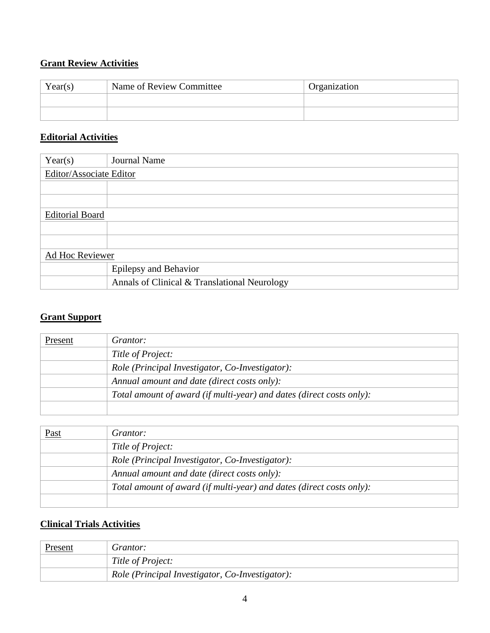# **Grant Review Activities**

| Year(s) | Name of Review Committee | Organization |
|---------|--------------------------|--------------|
|         |                          |              |
|         |                          |              |

#### **Editorial Activities**

| Year(s)                 | <b>Journal Name</b>                          |  |  |
|-------------------------|----------------------------------------------|--|--|
| Editor/Associate Editor |                                              |  |  |
|                         |                                              |  |  |
|                         |                                              |  |  |
| <b>Editorial Board</b>  |                                              |  |  |
|                         |                                              |  |  |
|                         |                                              |  |  |
| Ad Hoc Reviewer         |                                              |  |  |
|                         | <b>Epilepsy and Behavior</b>                 |  |  |
|                         | Annals of Clinical & Translational Neurology |  |  |

#### **Grant Support**

| Present | Grantor:                                                             |
|---------|----------------------------------------------------------------------|
|         | Title of Project:                                                    |
|         | Role (Principal Investigator, Co-Investigator):                      |
|         | Annual amount and date (direct costs only):                          |
|         | Total amount of award (if multi-year) and dates (direct costs only): |
|         |                                                                      |

| <u>Past</u> | <i>Grantor:</i>                                                      |
|-------------|----------------------------------------------------------------------|
|             | Title of Project:                                                    |
|             | Role (Principal Investigator, Co-Investigator):                      |
|             | Annual amount and date (direct costs only):                          |
|             | Total amount of award (if multi-year) and dates (direct costs only): |
|             |                                                                      |

#### **Clinical Trials Activities**

| <b>Present</b> | Grantor:                                        |
|----------------|-------------------------------------------------|
|                | Title of Project:                               |
|                | Role (Principal Investigator, Co-Investigator): |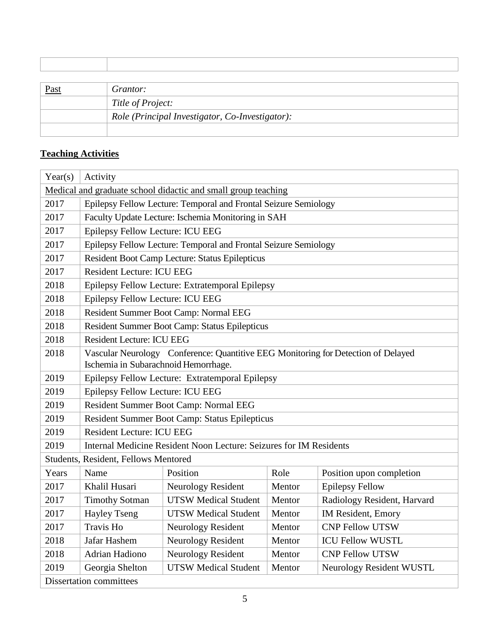| <u>Past</u> | <i>Grantor:</i>                                 |
|-------------|-------------------------------------------------|
|             | Title of Project:                               |
|             | Role (Principal Investigator, Co-Investigator): |
|             |                                                 |

#### **Teaching Activities**

T

 $\sqrt{ }$ 

| Year(s)                                                       | Activity                                                                                                                  |                                                                 |        |                             |
|---------------------------------------------------------------|---------------------------------------------------------------------------------------------------------------------------|-----------------------------------------------------------------|--------|-----------------------------|
| Medical and graduate school didactic and small group teaching |                                                                                                                           |                                                                 |        |                             |
| 2017                                                          | Epilepsy Fellow Lecture: Temporal and Frontal Seizure Semiology                                                           |                                                                 |        |                             |
| 2017                                                          |                                                                                                                           | Faculty Update Lecture: Ischemia Monitoring in SAH              |        |                             |
| 2017                                                          | Epilepsy Fellow Lecture: ICU EEG                                                                                          |                                                                 |        |                             |
| 2017                                                          |                                                                                                                           | Epilepsy Fellow Lecture: Temporal and Frontal Seizure Semiology |        |                             |
| 2017                                                          |                                                                                                                           | Resident Boot Camp Lecture: Status Epilepticus                  |        |                             |
| 2017                                                          | <b>Resident Lecture: ICU EEG</b>                                                                                          |                                                                 |        |                             |
| 2018                                                          |                                                                                                                           | Epilepsy Fellow Lecture: Extratemporal Epilepsy                 |        |                             |
| 2018                                                          | Epilepsy Fellow Lecture: ICU EEG                                                                                          |                                                                 |        |                             |
| 2018                                                          |                                                                                                                           | Resident Summer Boot Camp: Normal EEG                           |        |                             |
| 2018                                                          |                                                                                                                           | Resident Summer Boot Camp: Status Epilepticus                   |        |                             |
| 2018                                                          | <b>Resident Lecture: ICU EEG</b>                                                                                          |                                                                 |        |                             |
| 2018                                                          | Vascular Neurology Conference: Quantitive EEG Monitoring for Detection of Delayed<br>Ischemia in Subarachnoid Hemorrhage. |                                                                 |        |                             |
| 2019                                                          | Epilepsy Fellow Lecture: Extratemporal Epilepsy                                                                           |                                                                 |        |                             |
| 2019                                                          | Epilepsy Fellow Lecture: ICU EEG                                                                                          |                                                                 |        |                             |
| 2019                                                          | Resident Summer Boot Camp: Normal EEG                                                                                     |                                                                 |        |                             |
| 2019                                                          | Resident Summer Boot Camp: Status Epilepticus                                                                             |                                                                 |        |                             |
| 2019                                                          | <b>Resident Lecture: ICU EEG</b>                                                                                          |                                                                 |        |                             |
| 2019                                                          | Internal Medicine Resident Noon Lecture: Seizures for IM Residents                                                        |                                                                 |        |                             |
| Students, Resident, Fellows Mentored                          |                                                                                                                           |                                                                 |        |                             |
| Years                                                         | Name                                                                                                                      | Position                                                        | Role   | Position upon completion    |
| 2017                                                          | Khalil Husari                                                                                                             | <b>Neurology Resident</b>                                       | Mentor | <b>Epilepsy Fellow</b>      |
| 2017                                                          | <b>Timothy Sotman</b>                                                                                                     | <b>UTSW Medical Student</b>                                     | Mentor | Radiology Resident, Harvard |
| 2017                                                          | <b>Hayley Tseng</b>                                                                                                       | <b>UTSW Medical Student</b>                                     | Mentor | IM Resident, Emory          |
| 2017                                                          | <b>Travis Ho</b>                                                                                                          | Neurology Resident                                              | Mentor | <b>CNP Fellow UTSW</b>      |
| 2018                                                          | Jafar Hashem                                                                                                              | <b>Neurology Resident</b>                                       | Mentor | <b>ICU Fellow WUSTL</b>     |
| 2018                                                          | Adrian Hadiono                                                                                                            | Neurology Resident                                              | Mentor | <b>CNP Fellow UTSW</b>      |
| 2019                                                          | Georgia Shelton                                                                                                           | <b>UTSW Medical Student</b>                                     | Mentor | Neurology Resident WUSTL    |
| <b>Dissertation committees</b>                                |                                                                                                                           |                                                                 |        |                             |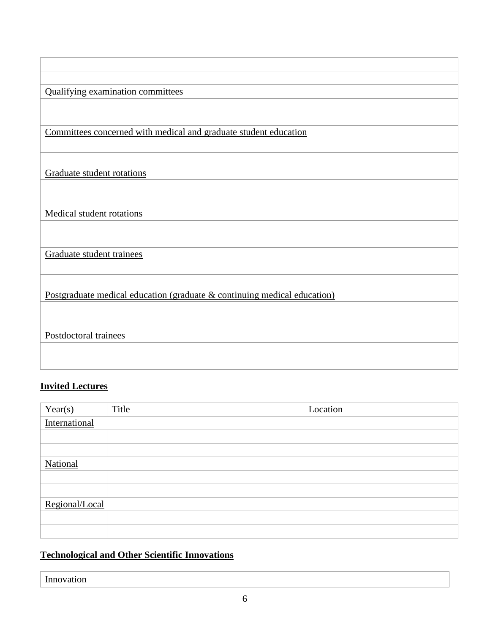|                       | Qualifying examination committees                                        |  |
|-----------------------|--------------------------------------------------------------------------|--|
|                       |                                                                          |  |
|                       |                                                                          |  |
|                       | Committees concerned with medical and graduate student education         |  |
|                       |                                                                          |  |
|                       |                                                                          |  |
|                       | Graduate student rotations                                               |  |
|                       |                                                                          |  |
|                       |                                                                          |  |
|                       | Medical student rotations                                                |  |
|                       |                                                                          |  |
|                       |                                                                          |  |
|                       | Graduate student trainees                                                |  |
|                       |                                                                          |  |
|                       |                                                                          |  |
|                       | Postgraduate medical education (graduate & continuing medical education) |  |
|                       |                                                                          |  |
|                       |                                                                          |  |
| Postdoctoral trainees |                                                                          |  |
|                       |                                                                          |  |
|                       |                                                                          |  |
|                       |                                                                          |  |

# **Invited Lectures**

| Year(s)        | Title         | Location |  |
|----------------|---------------|----------|--|
|                | International |          |  |
|                |               |          |  |
|                |               |          |  |
| National       |               |          |  |
|                |               |          |  |
|                |               |          |  |
| Regional/Local |               |          |  |
|                |               |          |  |
|                |               |          |  |

# **Technological and Other Scientific Innovations**

Innovation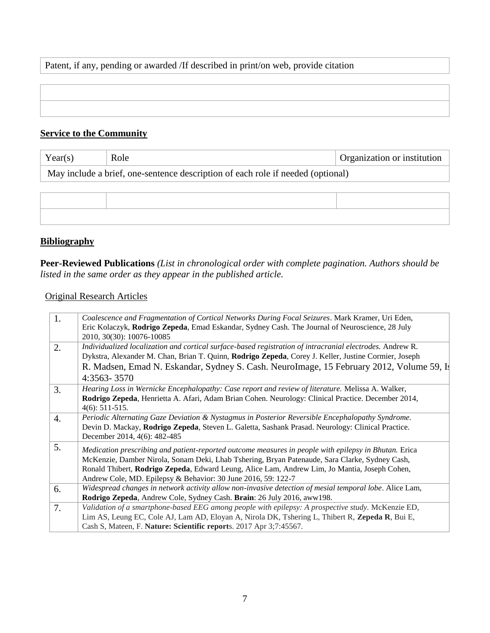#### Patent, if any, pending or awarded /If described in print/on web, provide citation

# **Service to the Community**

| Year(s)                                                                         | Role | Organization or institution |
|---------------------------------------------------------------------------------|------|-----------------------------|
| May include a brief, one-sentence description of each role if needed (optional) |      |                             |
|                                                                                 |      |                             |
|                                                                                 |      |                             |
|                                                                                 |      |                             |

#### **Bibliography**

**Peer-Reviewed Publications** *(List in chronological order with complete pagination. Authors should be listed in the same order as they appear in the published article.* 

#### Original Research Articles

| 1.               | Coalescence and Fragmentation of Cortical Networks During Focal Seizures. Mark Kramer, Uri Eden,                                  |
|------------------|-----------------------------------------------------------------------------------------------------------------------------------|
|                  | Eric Kolaczyk, Rodrigo Zepeda, Emad Eskandar, Sydney Cash. The Journal of Neuroscience, 28 July<br>2010, 30(30): 10076-10085      |
| 2.               | Individualized localization and cortical surface-based registration of intracranial electrodes. Andrew R.                         |
|                  | Dykstra, Alexander M. Chan, Brian T. Quinn, Rodrigo Zepeda, Corey J. Keller, Justine Cormier, Joseph                              |
|                  | R. Madsen, Emad N. Eskandar, Sydney S. Cash. NeuroImage, 15 February 2012, Volume 59, Is                                          |
|                  | 4:3563-3570                                                                                                                       |
| 3.               | Hearing Loss in Wernicke Encephalopathy: Case report and review of literature. Melissa A. Walker,                                 |
|                  | Rodrigo Zepeda, Henrietta A. Afari, Adam Brian Cohen. Neurology: Clinical Practice. December 2014,<br>$4(6): 511-515.$            |
| $\overline{4}$ . | Periodic Alternating Gaze Deviation & Nystagmus in Posterior Reversible Encephalopathy Syndrome.                                  |
|                  | Devin D. Mackay, Rodrigo Zepeda, Steven L. Galetta, Sashank Prasad. Neurology: Clinical Practice.<br>December 2014, 4(6): 482-485 |
| 5.               | Medication prescribing and patient-reported outcome measures in people with epilepsy in Bhutan. Erica                             |
|                  | McKenzie, Damber Nirola, Sonam Deki, Lhab Tshering, Bryan Patenaude, Sara Clarke, Sydney Cash,                                    |
|                  | Ronald Thibert, Rodrigo Zepeda, Edward Leung, Alice Lam, Andrew Lim, Jo Mantia, Joseph Cohen,                                     |
|                  | Andrew Cole, MD. Epilepsy & Behavior: 30 June 2016, 59: 122-7                                                                     |
| 6.               | Widespread changes in network activity allow non-invasive detection of mesial temporal lobe. Alice Lam,                           |
|                  | Rodrigo Zepeda, Andrew Cole, Sydney Cash. Brain: 26 July 2016, aww198.                                                            |
| 7.               | Validation of a smartphone-based EEG among people with epilepsy: A prospective study. McKenzie ED,                                |
|                  | Lim AS, Leung EC, Cole AJ, Lam AD, Eloyan A, Nirola DK, Tshering L, Thibert R, Zepeda R, Bui E,                                   |
|                  | Cash S, Mateen, F. Nature: Scientific reports. 2017 Apr 3;7:45567.                                                                |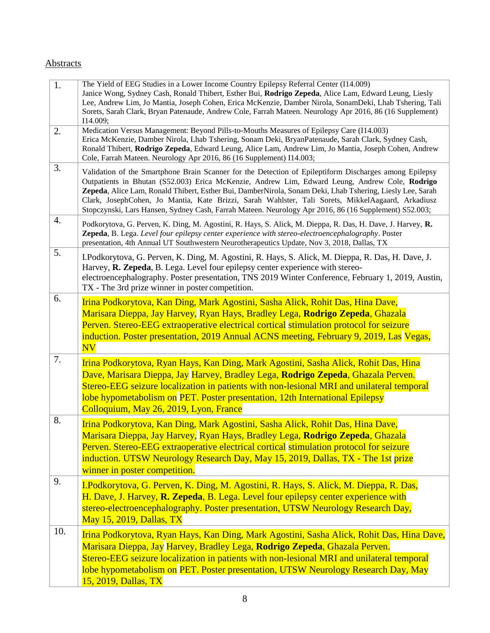#### **Abstracts**

| 1.        | The Yield of EEG Studies in a Lower Income Country Epilepsy Referral Center (114.009)<br>Janice Wong, Sydney Cash, Ronald Thibert, Esther Bui, Rodrigo Zepeda, Alice Lam, Edward Leung, Liesly<br>Lee, Andrew Lim, Jo Mantia, Joseph Cohen, Erica McKenzie, Damber Nirola, SonamDeki, Lhab Tshering, Tali<br>Sorets, Sarah Clark, Bryan Patenaude, Andrew Cole, Farrah Mateen. Neurology Apr 2016, 86 (16 Supplement)<br>I14.009;                                                                                                   |
|-----------|-------------------------------------------------------------------------------------------------------------------------------------------------------------------------------------------------------------------------------------------------------------------------------------------------------------------------------------------------------------------------------------------------------------------------------------------------------------------------------------------------------------------------------------|
| 2.        | Medication Versus Management: Beyond Pills-to-Mouths Measures of Epilepsy Care (I14.003)<br>Erica McKenzie, Damber Nirola, Lhab Tshering, Sonam Deki, BryanPatenaude, Sarah Clark, Sydney Cash,<br>Ronald Thibert, Rodrigo Zepeda, Edward Leung, Alice Lam, Andrew Lim, Jo Mantia, Joseph Cohen, Andrew<br>Cole, Farrah Mateen. Neurology Apr 2016, 86 (16 Supplement) I14.003;                                                                                                                                                     |
| 3.        | Validation of the Smartphone Brain Scanner for the Detection of Epileptiform Discharges among Epilepsy<br>Outpatients in Bhutan (S52.003) Erica McKenzie, Andrew Lim, Edward Leung, Andrew Cole, Rodrigo<br>Zepeda, Alice Lam, Ronald Thibert, Esther Bui, DamberNirola, Sonam Deki, Lhab Tshering, Liesly Lee, Sarah<br>Clark, JosephCohen, Jo Mantia, Kate Brizzi, Sarah Wahlster, Tali Sorets, MikkelAagaard, Arkadiusz<br>Stopczynski, Lars Hansen, Sydney Cash, Farrah Mateen. Neurology Apr 2016, 86 (16 Supplement) S52.003; |
| 4.        | Podkorytova, G. Perven, K. Ding, M. Agostini, R. Hays, S. Alick, M. Dieppa, R. Das, H. Dave, J. Harvey, R.<br>Zepeda, B. Lega. Level four epilepsy center experience with stereo-electroencephalography. Poster<br>presentation, 4th Annual UT Southwestern Neurotherapeutics Update, Nov 3, 2018, Dallas, TX                                                                                                                                                                                                                       |
| 5.        | I.Podkorytova, G. Perven, K. Ding, M. Agostini, R. Hays, S. Alick, M. Dieppa, R. Das, H. Dave, J.<br>Harvey, R. Zepeda, B. Lega. Level four epilepsy center experience with stereo-<br>electroencephalography. Poster presentation, TNS 2019 Winter Conference, February 1, 2019, Austin,<br>TX - The 3rd prize winner in poster competition.                                                                                                                                                                                       |
| 6.        | Irina Podkorytova, Kan Ding, Mark Agostini, Sasha Alick, Rohit Das, Hina Dave,<br>Marisara Dieppa, Jay Harvey, Ryan Hays, Bradley Lega, Rodrigo Zepeda, Ghazala<br>Perven. Stereo-EEG extraoperative electrical cortical stimulation protocol for seizure<br>induction. Poster presentation, 2019 Annual ACNS meeting, February 9, 2019, Las Vegas,<br>N V                                                                                                                                                                          |
| 7.        | Irina Podkorytova, Ryan Hays, Kan Ding, Mark Agostini, Sasha Alick, Rohit Das, Hina<br>Dave, Marisara Dieppa, Jay Harvey, Bradley Lega, Rodrigo Zepeda, Ghazala Perven.<br>Stereo-EEG seizure localization in patients with non-lesional MRI and unilateral temporal<br>lobe hypometabolism on PET. Poster presentation, 12th International Epilepsy                                                                                                                                                                                |
| 8.        | Colloquium, May 26, 2019, Lyon, France                                                                                                                                                                                                                                                                                                                                                                                                                                                                                              |
|           | Irina Podkorytova, Kan Ding, Mark Agostini, Sasha Alick, Rohit Das, Hina Dave,<br>Marisara Dieppa, Jay Harvey, Ryan Hays, Bradley Lega, Rodrigo Zepeda, Ghazala<br>Perven. Stereo-EEG extraoperative electrical cortical stimulation protocol for seizure<br>induction. UTSW Neurology Research Day, May 15, 2019, Dallas, TX - The 1st prize<br>winner in poster competition.                                                                                                                                                      |
| 9.<br>10. | I.Podkorytova, G. Perven, K. Ding, M. Agostini, R. Hays, S. Alick, M. Dieppa, R. Das,<br>H. Dave, J. Harvey, R. Zepeda, B. Lega. Level four epilepsy center experience with<br>stereo-electroencephalography. Poster presentation, UTSW Neurology Research Day,<br><b>May 15, 2019, Dallas, TX</b>                                                                                                                                                                                                                                  |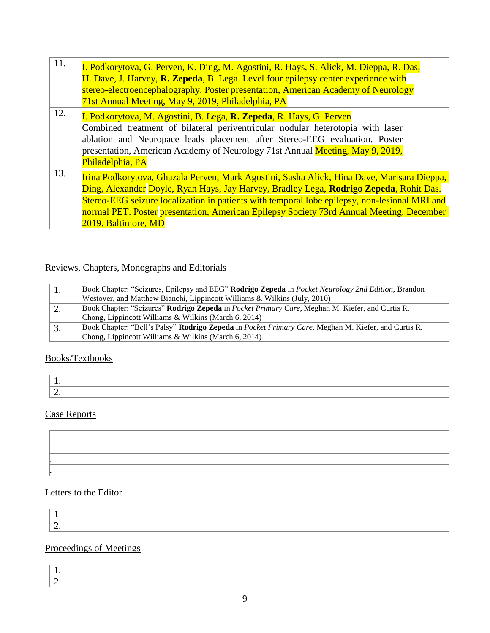| 11. | I. Podkorytova, G. Perven, K. Ding, M. Agostini, R. Hays, S. Alick, M. Dieppa, R. Das,<br>H. Dave, J. Harvey, R. Zepeda, B. Lega. Level four epilepsy center experience with<br>stereo-electroencephalography. Poster presentation, American Academy of Neurology<br>71st Annual Meeting, May 9, 2019, Philadelphia, PA                                                                                  |
|-----|----------------------------------------------------------------------------------------------------------------------------------------------------------------------------------------------------------------------------------------------------------------------------------------------------------------------------------------------------------------------------------------------------------|
| 12. | I. Podkorytova, M. Agostini, B. Lega, <b>R. Zepeda</b> , R. Hays, G. Perven<br>Combined treatment of bilateral periventricular nodular heterotopia with laser<br>ablation and Neuropace leads placement after Stereo-EEG evaluation. Poster<br>presentation, American Academy of Neurology 71st Annual Meeting, May 9, 2019,<br>Philadelphia, PA                                                         |
| 13. | Irina Podkorytova, Ghazala Perven, Mark Agostini, Sasha Alick, Hina Dave, Marisara Dieppa,<br>Ding, Alexander Doyle, Ryan Hays, Jay Harvey, Bradley Lega, Rodrigo Zepeda, Rohit Das.<br>Stereo-EEG seizure localization in patients with temporal lobe epilepsy, non-lesional MRI and<br>normal PET. Poster presentation, American Epilepsy Society 73rd Annual Meeting, December<br>2019. Baltimore, MD |

# Reviews, Chapters, Monographs and Editorials

|    | Book Chapter: "Seizures, Epilepsy and EEG" Rodrigo Zepeda in Pocket Neurology 2nd Edition, Brandon                 |
|----|--------------------------------------------------------------------------------------------------------------------|
|    | Westover, and Matthew Bianchi, Lippincott Williams & Wilkins (July, 2010)                                          |
| 2. | Book Chapter: "Seizures" Rodrigo Zepeda in Pocket Primary Care, Meghan M. Kiefer, and Curtis R.                    |
|    | Chong, Lippincott Williams & Wilkins (March 6, 2014)                                                               |
|    | Book Chapter: "Bell's Palsy" <b>Rodrigo Zepeda</b> in <i>Pocket Primary Care</i> , Meghan M. Kiefer, and Curtis R. |
|    | Chong, Lippincott Williams & Wilkins (March 6, 2014)                                                               |

# Books/Textbooks

| $\sim$ |  |
|--------|--|

#### Case Reports

# Letters to the Editor

# Proceedings of Meetings

| - |  |
|---|--|